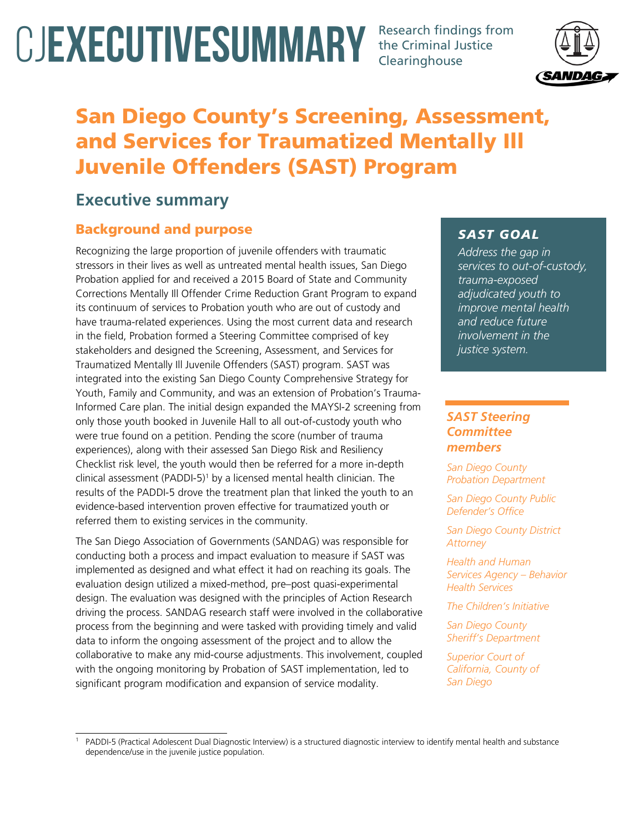# CJEXECUTIVESUMMARY Research findings from

the Criminal Justice Clearinghouse



# San Diego County's Screening, Assessment, and Services for Traumatized Mentally Ill Juvenile Offenders (SAST) Program

# **Executive summary**

# Background and purpose

Recognizing the large proportion of juvenile offenders with traumatic stressors in their lives as well as untreated mental health issues, San Diego Probation applied for and received a 2015 Board of State and Community Corrections Mentally Ill Offender Crime Reduction Grant Program to expand its continuum of services to Probation youth who are out of custody and have trauma-related experiences. Using the most current data and research in the field, Probation formed a Steering Committee comprised of key stakeholders and designed the Screening, Assessment, and Services for Traumatized Mentally Ill Juvenile Offenders (SAST) program. SAST was integrated into the existing San Diego County Comprehensive Strategy for Youth, Family and Community, and was an extension of Probation's Trauma-Informed Care plan. The initial design expanded the MAYSI-2 screening from only those youth booked in Juvenile Hall to all out-of-custody youth who were true found on a petition. Pending the score (number of trauma experiences), along with their assessed San Diego Risk and Resiliency Checklist risk level, the youth would then be referred for a more in-depth clinical assessment (PADDI-5)<sup>1</sup> by a licensed mental health clinician. The results of the PADDI-5 drove the treatment plan that linked the youth to an evidence-based intervention proven effective for traumatized youth or referred them to existing services in the community.

The San Diego Association of Governments (SANDAG) was responsible for conducting both a process and impact evaluation to measure if SAST was implemented as designed and what effect it had on reaching its goals. The evaluation design utilized a mixed-method, pre–post quasi-experimental design. The evaluation was designed with the principles of Action Research driving the process. SANDAG research staff were involved in the collaborative process from the beginning and were tasked with providing timely and valid data to inform the ongoing assessment of the project and to allow the collaborative to make any mid-course adjustments. This involvement, coupled with the ongoing monitoring by Probation of SAST implementation, led to significant program modification and expansion of service modality.

## *SAST GOAL*

*Address the gap in services to out-of-custody, trauma-exposed adjudicated youth to improve mental health and reduce future involvement in the justice system.*

## *SAST Steering Committee members*

*San Diego County Probation Department* 

*San Diego County Public Defender's Office* 

*San Diego County District Attorney* 

*Health and Human Services Agency – Behavior Health Services* 

*The Children's Initiative* 

*San Diego County Sheriff's Department* 

*Superior Court of California, County of San Diego*

<sup>1</sup> PADDI-5 (Practical Adolescent Dual Diagnostic Interview) is a structured diagnostic interview to identify mental health and substance dependence/use in the juvenile justice population.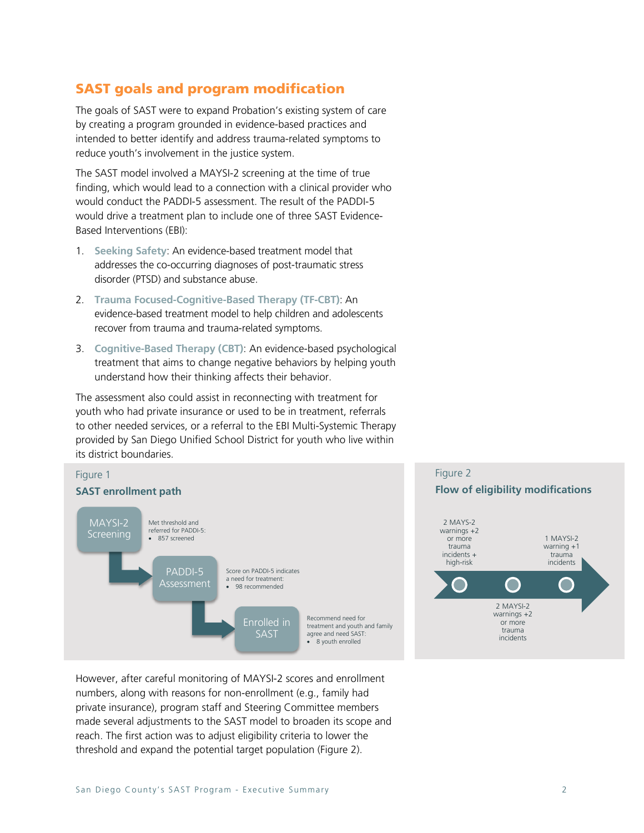# SAST goals and program modification

The goals of SAST were to expand Probation's existing system of care by creating a program grounded in evidence-based practices and intended to better identify and address trauma-related symptoms to reduce youth's involvement in the justice system.

The SAST model involved a MAYSI-2 screening at the time of true finding, which would lead to a connection with a clinical provider who would conduct the PADDI-5 assessment. The result of the PADDI-5 would drive a treatment plan to include one of three SAST Evidence-Based Interventions (EBI):

- 1. **Seeking Safety**: An evidence-based treatment model that addresses the co-occurring diagnoses of post-traumatic stress disorder (PTSD) and substance abuse.
- 2. **Trauma Focused-Cognitive-Based Therapy (TF-CBT)**: An evidence-based treatment model to help children and adolescents recover from trauma and trauma-related symptoms.
- 3. **Cognitive-Based Therapy (CBT)**: An evidence-based psychological treatment that aims to change negative behaviors by helping youth understand how their thinking affects their behavior.

The assessment also could assist in reconnecting with treatment for youth who had private insurance or used to be in treatment, referrals to other needed services, or a referral to the EBI Multi-Systemic Therapy provided by San Diego Unified School District for youth who live within its district boundaries.





However, after careful monitoring of MAYSI-2 scores and enrollment numbers, along with reasons for non-enrollment (e.g., family had private insurance), program staff and Steering Committee members made several adjustments to the SAST model to broaden its scope and reach. The first action was to adjust eligibility criteria to lower the threshold and expand the potential target population (Figure 2).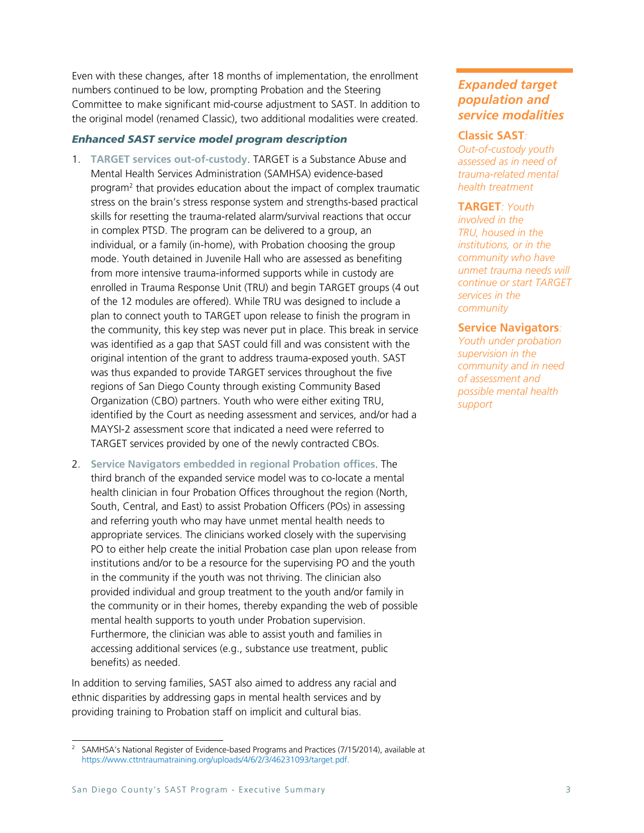Even with these changes, after 18 months of implementation, the enrollment numbers continued to be low, prompting Probation and the Steering Committee to make significant mid-course adjustment to SAST. In addition to the original model (renamed Classic), two additional modalities were created.

#### *Enhanced SAST service model program description*

- 1. **TARGET services out-of-custody**. TARGET is a Substance Abuse and Mental Health Services Administration (SAMHSA) evidence-based program2 that provides education about the impact of complex traumatic stress on the brain's stress response system and strengths-based practical skills for resetting the trauma-related alarm/survival reactions that occur in complex PTSD. The program can be delivered to a group, an individual, or a family (in-home), with Probation choosing the group mode. Youth detained in Juvenile Hall who are assessed as benefiting from more intensive trauma-informed supports while in custody are enrolled in Trauma Response Unit (TRU) and begin TARGET groups (4 out of the 12 modules are offered). While TRU was designed to include a plan to connect youth to TARGET upon release to finish the program in the community, this key step was never put in place. This break in service was identified as a gap that SAST could fill and was consistent with the original intention of the grant to address trauma-exposed youth. SAST was thus expanded to provide TARGET services throughout the five regions of San Diego County through existing Community Based Organization (CBO) partners. Youth who were either exiting TRU, identified by the Court as needing assessment and services, and/or had a MAYSI-2 assessment score that indicated a need were referred to TARGET services provided by one of the newly contracted CBOs.
- 2. **Service Navigators embedded in regional Probation offices**. The third branch of the expanded service model was to co-locate a mental health clinician in four Probation Offices throughout the region (North, South, Central, and East) to assist Probation Officers (POs) in assessing and referring youth who may have unmet mental health needs to appropriate services. The clinicians worked closely with the supervising PO to either help create the initial Probation case plan upon release from institutions and/or to be a resource for the supervising PO and the youth in the community if the youth was not thriving. The clinician also provided individual and group treatment to the youth and/or family in the community or in their homes, thereby expanding the web of possible mental health supports to youth under Probation supervision. Furthermore, the clinician was able to assist youth and families in accessing additional services (e.g., substance use treatment, public benefits) as needed.

In addition to serving families, SAST also aimed to address any racial and ethnic disparities by addressing gaps in mental health services and by providing training to Probation staff on implicit and cultural bias.

### *Expanded target population and service modalities*

#### **Classic SAST***:*

*Out-of-custody youth assessed as in need of trauma-related mental health treatment*

#### **TARGET***: Youth*

*involved in the TRU, housed in the institutions, or in the community who have unmet trauma needs will continue or start TARGET services in the community*

#### **Service Navigators***:*

*Youth under probation supervision in the community and in need of assessment and possible mental health support*

<sup>&</sup>lt;sup>2</sup> SAMHSA's National Register of Evidence-based Programs and Practices (7/15/2014), available at https://www.cttntraumatraining.org/uploads/4/6/2/3/46231093/target.pdf.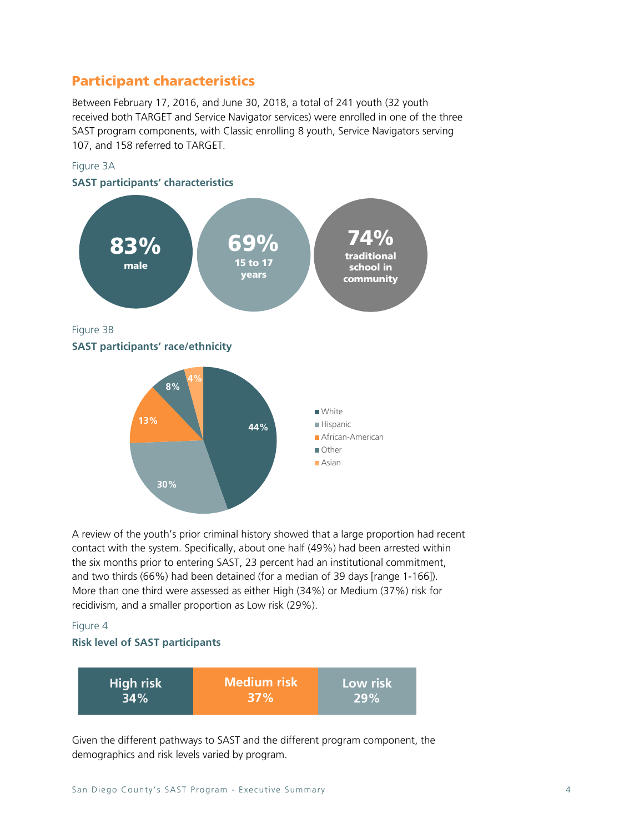## Participant characteristics

Between February 17, 2016, and June 30, 2018, a total of 241 youth (32 youth received both TARGET and Service Navigator services) were enrolled in one of the three SAST program components, with Classic enrolling 8 youth, Service Navigators serving 107, and 158 referred to TARGET.



A review of the youth's prior criminal history showed that a large proportion had recent contact with the system. Specifically, about one half (49%) had been arrested within the six months prior to entering SAST, 23 percent had an institutional commitment, and two thirds (66%) had been detained (for a median of 39 days [range 1-166]). More than one third were assessed as either High (34%) or Medium (37%) risk for recidivism, and a smaller proportion as Low risk (29%).

#### Figure 4

#### **Risk level of SAST participants**

| High risk | <b>Medium risk</b> | Low risk |
|-----------|--------------------|----------|
| $34\%$    | <b>37%</b>         | 29%      |

Given the different pathways to SAST and the different program component, the demographics and risk levels varied by program.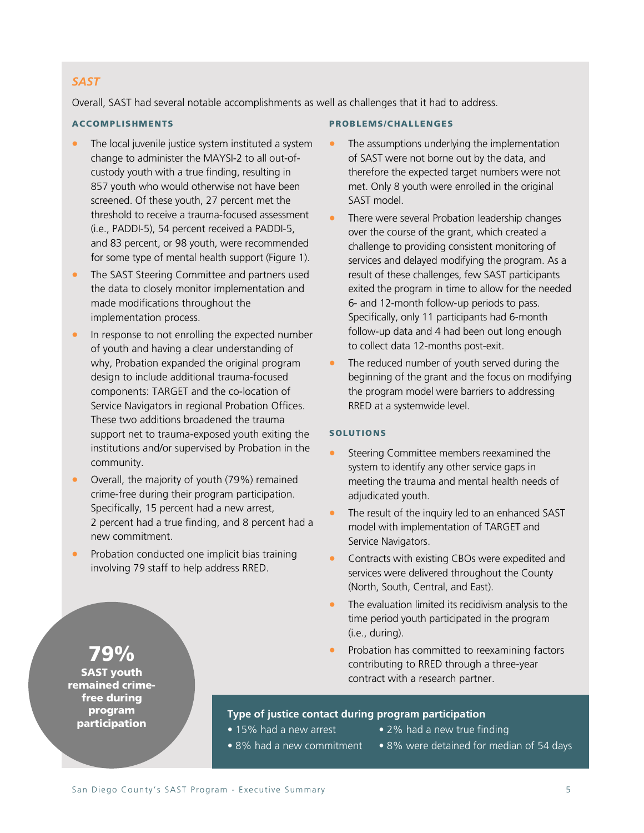#### *SAST*

Overall, SAST had several notable accomplishments as well as challenges that it had to address.

#### ACCOMPLISHMENTS

- The local juvenile justice system instituted a system change to administer the MAYSI-2 to all out-ofcustody youth with a true finding, resulting in 857 youth who would otherwise not have been screened. Of these youth, 27 percent met the threshold to receive a trauma-focused assessment (i.e., PADDI-5), 54 percent received a PADDI-5, and 83 percent, or 98 youth, were recommended for some type of mental health support (Figure 1).
- The SAST Steering Committee and partners used the data to closely monitor implementation and made modifications throughout the implementation process.
- In response to not enrolling the expected number of youth and having a clear understanding of why, Probation expanded the original program design to include additional trauma-focused components: TARGET and the co-location of Service Navigators in regional Probation Offices. These two additions broadened the trauma support net to trauma-exposed youth exiting the institutions and/or supervised by Probation in the community.
- Overall, the majority of youth (79%) remained crime-free during their program participation. Specifically, 15 percent had a new arrest, 2 percent had a true finding, and 8 percent had a new commitment.
- Probation conducted one implicit bias training involving 79 staff to help address RRED.

#### PROBLEMS/CHALLENGES

- The assumptions underlying the implementation of SAST were not borne out by the data, and therefore the expected target numbers were not met. Only 8 youth were enrolled in the original SAST model.
- There were several Probation leadership changes over the course of the grant, which created a challenge to providing consistent monitoring of services and delayed modifying the program. As a result of these challenges, few SAST participants exited the program in time to allow for the needed 6- and 12-month follow-up periods to pass. Specifically, only 11 participants had 6-month follow-up data and 4 had been out long enough to collect data 12-months post-exit.
- The reduced number of youth served during the beginning of the grant and the focus on modifying the program model were barriers to addressing RRED at a systemwide level.

#### SOLUTIONS

- Steering Committee members reexamined the system to identify any other service gaps in meeting the trauma and mental health needs of adjudicated youth.
- The result of the inquiry led to an enhanced SAST model with implementation of TARGET and Service Navigators.
- Contracts with existing CBOs were expedited and services were delivered throughout the County (North, South, Central, and East).
- The evaluation limited its recidivism analysis to the time period youth participated in the program (i.e., during).
- Probation has committed to reexamining factors contributing to RRED through a three-year contract with a research partner.

#### **Type of justice contact during program participation**

- 
- 15% had a new arrest 2% had a new true finding
- 
- 
- 8% had a new commitment 8% were detained for median of 54 days

# 79%

SAST youth remained crimefree during program participation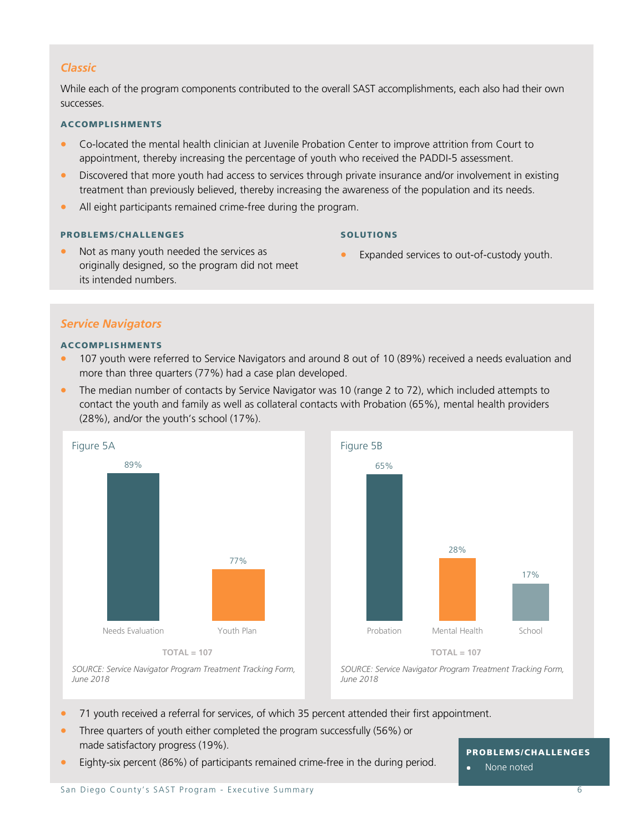#### *Classic*

While each of the program components contributed to the overall SAST accomplishments, each also had their own successes.

#### ACCOMPLISHMENTS

- Co-located the mental health clinician at Juvenile Probation Center to improve attrition from Court to appointment, thereby increasing the percentage of youth who received the PADDI-5 assessment.
- Discovered that more youth had access to services through private insurance and/or involvement in existing treatment than previously believed, thereby increasing the awareness of the population and its needs.
- All eight participants remained crime-free during the program.

#### PROBLEMS/CHALLENGES

#### SOLUTIONS

- Expanded services to out-of-custody youth.
- Not as many youth needed the services as originally designed, so the program did not meet its intended numbers.

#### *Service Navigators*

#### ACCOMPLISHMENTS

- 107 youth were referred to Service Navigators and around 8 out of 10 (89%) received a needs evaluation and more than three quarters (77%) had a case plan developed.
- The median number of contacts by Service Navigator was 10 (range 2 to 72), which included attempts to contact the youth and family as well as collateral contacts with Probation (65%), mental health providers (28%), and/or the youth's school (17%).





*SOURCE: Service Navigator Program Treatment Tracking Form, June 2018*

*SOURCE: Service Navigator Program Treatment Tracking Form, June 2018*

- 71 youth received a referral for services, of which 35 percent attended their first appointment.
- Three quarters of youth either completed the program successfully (56%) or made satisfactory progress (19%).
- Eighty-six percent (86%) of participants remained crime-free in the during period.

#### PROBLEMS/CHALLENGES

 $\bullet$ None noted